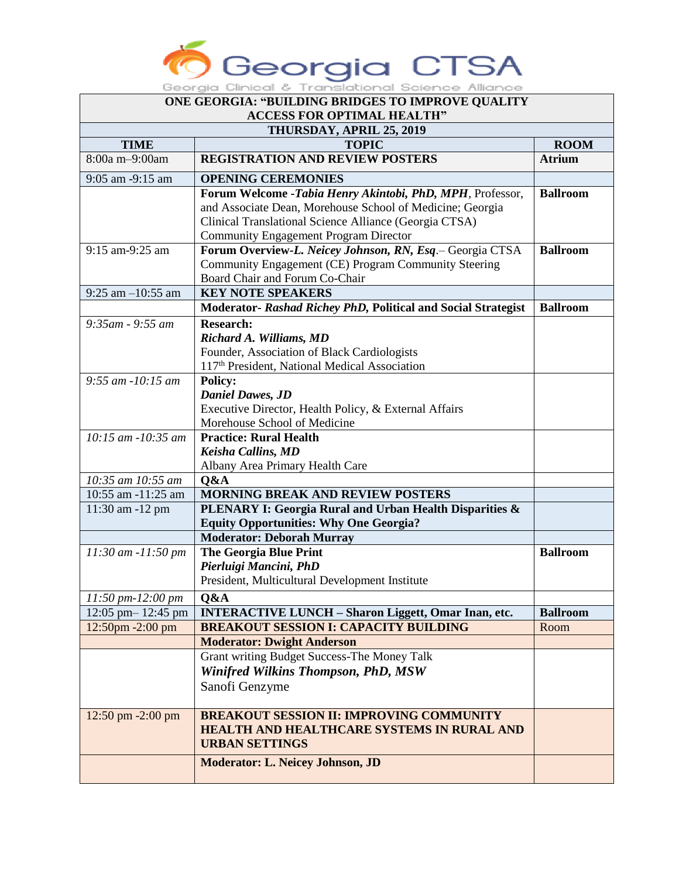

| ONE GEORGIA: "BUILDING BRIDGES TO IMPROVE QUALITY |                                                                                                          |                 |  |  |
|---------------------------------------------------|----------------------------------------------------------------------------------------------------------|-----------------|--|--|
| <b>ACCESS FOR OPTIMAL HEALTH"</b>                 |                                                                                                          |                 |  |  |
| THURSDAY, APRIL 25, 2019                          |                                                                                                          |                 |  |  |
| <b>TIME</b>                                       | <b>TOPIC</b>                                                                                             | <b>ROOM</b>     |  |  |
| 8:00a m-9:00am                                    | <b>REGISTRATION AND REVIEW POSTERS</b>                                                                   | <b>Atrium</b>   |  |  |
| 9:05 am -9:15 am                                  | <b>OPENING CEREMONIES</b>                                                                                |                 |  |  |
|                                                   | Forum Welcome -Tabia Henry Akintobi, PhD, MPH, Professor,                                                | <b>Ballroom</b> |  |  |
|                                                   | and Associate Dean, Morehouse School of Medicine; Georgia                                                |                 |  |  |
|                                                   | Clinical Translational Science Alliance (Georgia CTSA)                                                   |                 |  |  |
|                                                   | <b>Community Engagement Program Director</b><br>Forum Overview-L. Neicey Johnson, RN, Esq.- Georgia CTSA | <b>Ballroom</b> |  |  |
| 9:15 am-9:25 am                                   | Community Engagement (CE) Program Community Steering                                                     |                 |  |  |
|                                                   | Board Chair and Forum Co-Chair                                                                           |                 |  |  |
| $9:25$ am $-10:55$ am                             | <b>KEY NOTE SPEAKERS</b>                                                                                 |                 |  |  |
|                                                   | Moderator- Rashad Richey PhD, Political and Social Strategist                                            | <b>Ballroom</b> |  |  |
| $9:35am - 9:55 am$                                | <b>Research:</b>                                                                                         |                 |  |  |
|                                                   | Richard A. Williams, MD                                                                                  |                 |  |  |
|                                                   | Founder, Association of Black Cardiologists                                                              |                 |  |  |
|                                                   | 117 <sup>th</sup> President, National Medical Association                                                |                 |  |  |
| $9:55$ am $-10:15$ am                             | <b>Policy:</b>                                                                                           |                 |  |  |
|                                                   | <b>Daniel Dawes</b> , JD                                                                                 |                 |  |  |
|                                                   | Executive Director, Health Policy, & External Affairs                                                    |                 |  |  |
|                                                   | Morehouse School of Medicine                                                                             |                 |  |  |
| 10:15 am -10:35 am                                | <b>Practice: Rural Health</b>                                                                            |                 |  |  |
|                                                   | <b>Keisha Callins, MD</b>                                                                                |                 |  |  |
|                                                   | Albany Area Primary Health Care                                                                          |                 |  |  |
| 10:35 am 10:55 am<br>10:55 am -11:25 am           | Q&A<br><b>MORNING BREAK AND REVIEW POSTERS</b>                                                           |                 |  |  |
| 11:30 am -12 pm                                   | PLENARY I: Georgia Rural and Urban Health Disparities &                                                  |                 |  |  |
|                                                   | <b>Equity Opportunities: Why One Georgia?</b>                                                            |                 |  |  |
|                                                   | <b>Moderator: Deborah Murray</b>                                                                         |                 |  |  |
| 11:30 am -11:50 pm                                | <b>The Georgia Blue Print</b>                                                                            | <b>Ballroom</b> |  |  |
|                                                   | Pierluigi Mancini, PhD                                                                                   |                 |  |  |
|                                                   | President, Multicultural Development Institute                                                           |                 |  |  |
| $11:50 \, \text{pm-}12:00 \, \text{pm}$           | Q&A                                                                                                      |                 |  |  |
| 12:05 pm - 12:45 pm                               | <b>INTERACTIVE LUNCH - Sharon Liggett, Omar Inan, etc.</b>                                               | <b>Ballroom</b> |  |  |
| 12:50pm -2:00 pm                                  | <b>BREAKOUT SESSION I: CAPACITY BUILDING</b>                                                             | Room            |  |  |
|                                                   | <b>Moderator: Dwight Anderson</b>                                                                        |                 |  |  |
|                                                   | Grant writing Budget Success-The Money Talk                                                              |                 |  |  |
|                                                   | <b>Winifred Wilkins Thompson, PhD, MSW</b>                                                               |                 |  |  |
|                                                   | Sanofi Genzyme                                                                                           |                 |  |  |
| 12:50 pm -2:00 pm                                 | <b>BREAKOUT SESSION II: IMPROVING COMMUNITY</b>                                                          |                 |  |  |
|                                                   | <b>HEALTH AND HEALTHCARE SYSTEMS IN RURAL AND</b>                                                        |                 |  |  |
|                                                   | <b>URBAN SETTINGS</b>                                                                                    |                 |  |  |
|                                                   | <b>Moderator: L. Neicey Johnson, JD</b>                                                                  |                 |  |  |
|                                                   |                                                                                                          |                 |  |  |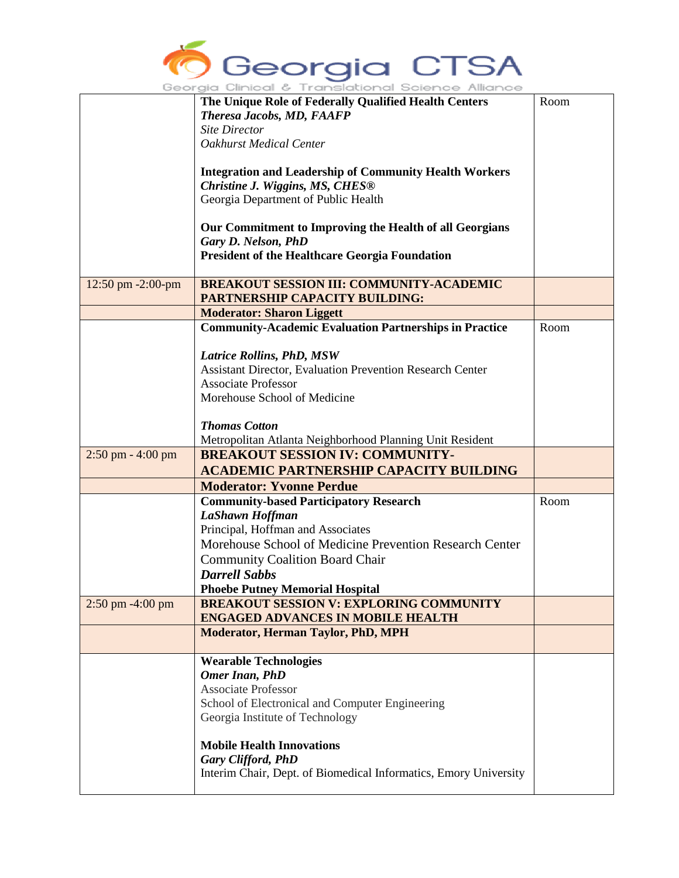

|                       | The Unique Role of Federally Qualified Health Centers<br>Theresa Jacobs, MD, FAAFP<br><b>Site Director</b>                                                                | Room |
|-----------------------|---------------------------------------------------------------------------------------------------------------------------------------------------------------------------|------|
|                       | <b>Oakhurst Medical Center</b>                                                                                                                                            |      |
|                       | <b>Integration and Leadership of Community Health Workers</b><br>Christine J. Wiggins, MS, CHES <sup>®</sup><br>Georgia Department of Public Health                       |      |
|                       | Our Commitment to Improving the Health of all Georgians<br>Gary D. Nelson, PhD<br><b>President of the Healthcare Georgia Foundation</b>                                   |      |
| 12:50 pm -2:00-pm     | <b>BREAKOUT SESSION III: COMMUNITY-ACADEMIC</b><br><b>PARTNERSHIP CAPACITY BUILDING:</b>                                                                                  |      |
|                       | <b>Moderator: Sharon Liggett</b>                                                                                                                                          |      |
|                       | <b>Community-Academic Evaluation Partnerships in Practice</b>                                                                                                             | Room |
|                       | <b>Latrice Rollins, PhD, MSW</b><br><b>Assistant Director, Evaluation Prevention Research Center</b><br><b>Associate Professor</b><br>Morehouse School of Medicine        |      |
|                       | <b>Thomas Cotton</b>                                                                                                                                                      |      |
|                       | Metropolitan Atlanta Neighborhood Planning Unit Resident                                                                                                                  |      |
| $2:50$ pm $- 4:00$ pm | <b>BREAKOUT SESSION IV: COMMUNITY-</b><br><b>ACADEMIC PARTNERSHIP CAPACITY BUILDING</b>                                                                                   |      |
|                       | <b>Moderator: Yvonne Perdue</b>                                                                                                                                           |      |
|                       | <b>Community-based Participatory Research</b><br>LaShawn Hoffman                                                                                                          | Room |
|                       | Principal, Hoffman and Associates<br>Morehouse School of Medicine Prevention Research Center<br><b>Community Coalition Board Chair</b><br><b>Darrell Sabbs</b>            |      |
|                       | <b>Phoebe Putney Memorial Hospital</b>                                                                                                                                    |      |
| $2:50$ pm $-4:00$ pm  | <b>BREAKOUT SESSION V: EXPLORING COMMUNITY</b><br><b>ENGAGED ADVANCES IN MOBILE HEALTH</b>                                                                                |      |
|                       | <b>Moderator, Herman Taylor, PhD, MPH</b>                                                                                                                                 |      |
|                       | <b>Wearable Technologies</b><br><b>Omer Inan, PhD</b><br><b>Associate Professor</b><br>School of Electronical and Computer Engineering<br>Georgia Institute of Technology |      |
|                       | <b>Mobile Health Innovations</b><br>Gary Clifford, PhD<br>Interim Chair, Dept. of Biomedical Informatics, Emory University                                                |      |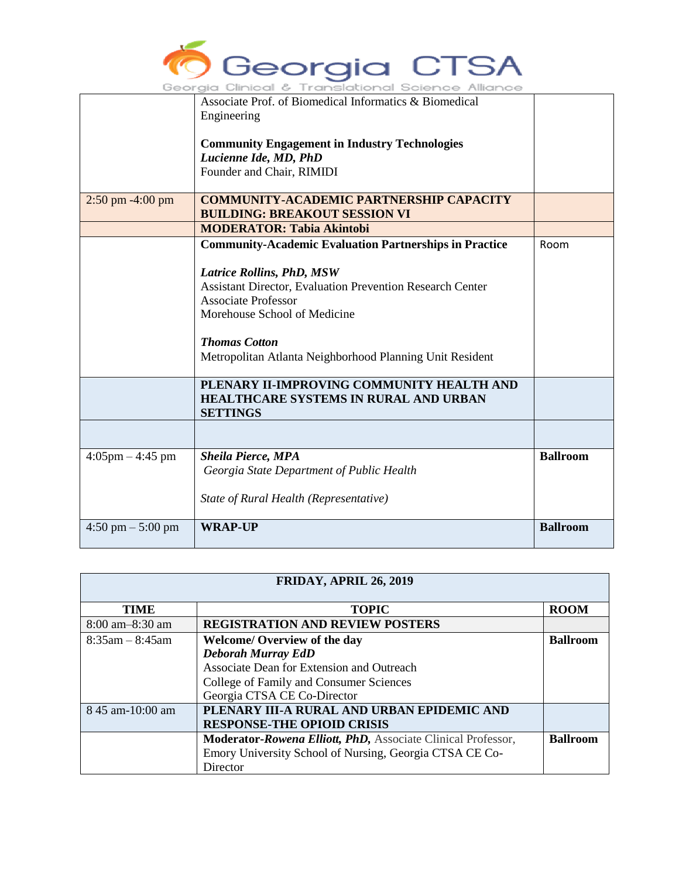

|                                     | Associate Prof. of Biomedical Informatics & Biomedical           |                 |
|-------------------------------------|------------------------------------------------------------------|-----------------|
|                                     | Engineering                                                      |                 |
|                                     |                                                                  |                 |
|                                     | <b>Community Engagement in Industry Technologies</b>             |                 |
|                                     | Lucienne Ide, MD, PhD                                            |                 |
|                                     | Founder and Chair, RIMIDI                                        |                 |
|                                     |                                                                  |                 |
| $2:50 \text{ pm } -4:00 \text{ pm}$ | <b>COMMUNITY-ACADEMIC PARTNERSHIP CAPACITY</b>                   |                 |
|                                     | <b>BUILDING: BREAKOUT SESSION VI</b>                             |                 |
|                                     | <b>MODERATOR: Tabia Akintobi</b>                                 |                 |
|                                     | <b>Community-Academic Evaluation Partnerships in Practice</b>    | Room            |
|                                     |                                                                  |                 |
|                                     | <b>Latrice Rollins, PhD, MSW</b>                                 |                 |
|                                     | <b>Assistant Director, Evaluation Prevention Research Center</b> |                 |
|                                     | <b>Associate Professor</b>                                       |                 |
|                                     |                                                                  |                 |
|                                     | Morehouse School of Medicine                                     |                 |
|                                     |                                                                  |                 |
|                                     | <b>Thomas Cotton</b>                                             |                 |
|                                     | Metropolitan Atlanta Neighborhood Planning Unit Resident         |                 |
|                                     |                                                                  |                 |
|                                     | PLENARY II-IMPROVING COMMUNITY HEALTH AND                        |                 |
|                                     | <b>HEALTHCARE SYSTEMS IN RURAL AND URBAN</b>                     |                 |
|                                     | <b>SETTINGS</b>                                                  |                 |
|                                     |                                                                  |                 |
|                                     |                                                                  |                 |
| $4:05$ pm $-4:45$ pm                | <b>Sheila Pierce, MPA</b>                                        | <b>Ballroom</b> |
|                                     | Georgia State Department of Public Health                        |                 |
|                                     |                                                                  |                 |
|                                     | State of Rural Health (Representative)                           |                 |
|                                     |                                                                  |                 |
| $4:50 \text{ pm} - 5:00 \text{ pm}$ | <b>WRAP-UP</b>                                                   | <b>Ballroom</b> |
|                                     |                                                                  |                 |

| <b>FRIDAY, APRIL 26, 2019</b> |                                                              |                 |  |
|-------------------------------|--------------------------------------------------------------|-----------------|--|
| <b>TIME</b>                   | <b>TOPIC</b>                                                 | <b>ROOM</b>     |  |
| $8:00$ am $-8:30$ am          | <b>REGISTRATION AND REVIEW POSTERS</b>                       |                 |  |
| $8:35$ am – $8:45$ am         | <b>Welcome/ Overview of the day</b>                          | <b>Ballroom</b> |  |
|                               | <b>Deborah Murray EdD</b>                                    |                 |  |
|                               | Associate Dean for Extension and Outreach                    |                 |  |
|                               | College of Family and Consumer Sciences                      |                 |  |
|                               | Georgia CTSA CE Co-Director                                  |                 |  |
| 8 45 am-10:00 am              | PLENARY III-A RURAL AND URBAN EPIDEMIC AND                   |                 |  |
|                               | <b>RESPONSE-THE OPIOID CRISIS</b>                            |                 |  |
|                               | Moderator-Rowena Elliott, PhD, Associate Clinical Professor, | <b>Ballroom</b> |  |
|                               | Emory University School of Nursing, Georgia CTSA CE Co-      |                 |  |
|                               | Director                                                     |                 |  |